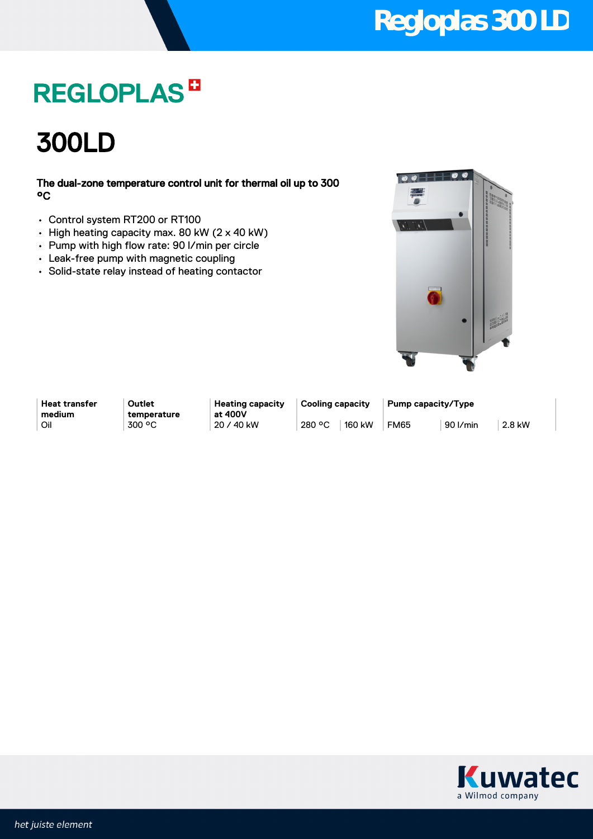## **Regloplas 300 LD**

## **REGLOPLAS<sup>B</sup>**

300LD

### The dual-zone temperature control unit for thermal oil up to 300 °C

- Control system RT200 or RT100
- High heating capacity max. 80 kW (2 x 40 kW)
- Pump with high flow rate: 90 l/min per circle
- Leak-free pump with magnetic coupling
- Solid-state relay instead of heating contactor



**Heat transfer medium**

**Outlet temperature** **Heating capacity at 400V**

**Cooling capacity Pump capacity/Type** Oil 300 °C 20 / 40 kW 280 °C 160 kW FM65 90 l/min 2.8 kW

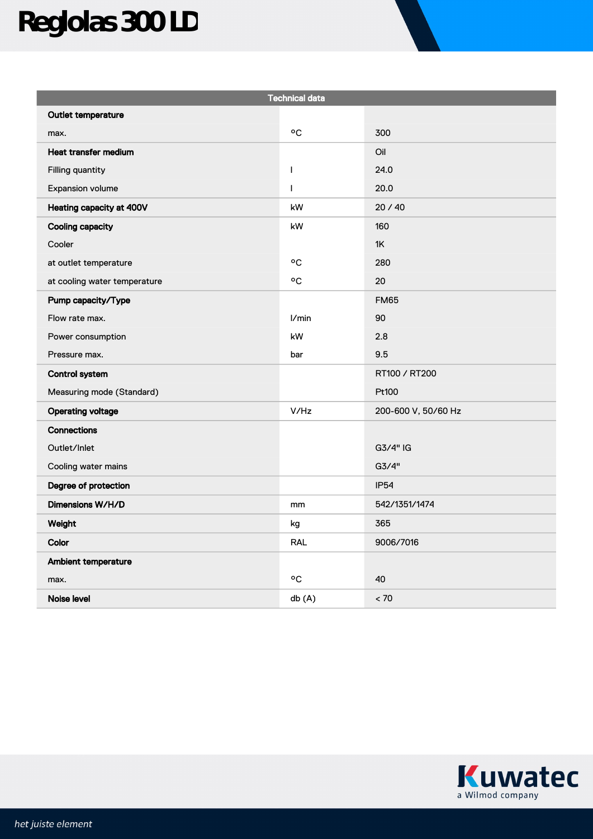# **Reglolas 300 LD**

| <b>Technical data</b>        |              |                     |
|------------------------------|--------------|---------------------|
| Outlet temperature           |              |                     |
| max.                         | °C           | 300                 |
| Heat transfer medium         |              | Oil                 |
| Filling quantity             | $\mathbf{I}$ | 24.0                |
| Expansion volume             | $\mathsf{I}$ | 20.0                |
| Heating capacity at 400V     | kW           | 20/40               |
| <b>Cooling capacity</b>      | kW           | 160                 |
| Cooler                       |              | 1K                  |
| at outlet temperature        | ٥C           | 280                 |
| at cooling water temperature | °C           | 20                  |
| Pump capacity/Type           |              | <b>FM65</b>         |
| Flow rate max.               | l/min        | 90                  |
| Power consumption            | kW           | 2.8                 |
| Pressure max.                | bar          | 9.5                 |
| <b>Control system</b>        |              | RT100 / RT200       |
| Measuring mode (Standard)    |              | Pt100               |
| <b>Operating voltage</b>     | V/Hz         | 200-600 V, 50/60 Hz |
| Connections                  |              |                     |
| Outlet/Inlet                 |              | $G3/4"$ IG          |
| Cooling water mains          |              | G3/4"               |
| Degree of protection         |              | <b>IP54</b>         |
| Dimensions W/H/D             | mm           | 542/1351/1474       |
| Weight                       | kg           | 365                 |
| Color                        | <b>RAL</b>   | 9006/7016           |
| Ambient temperature          |              |                     |
| max.                         | ٥C           | 40                  |
| Noise level                  | db(A)        | < 70                |